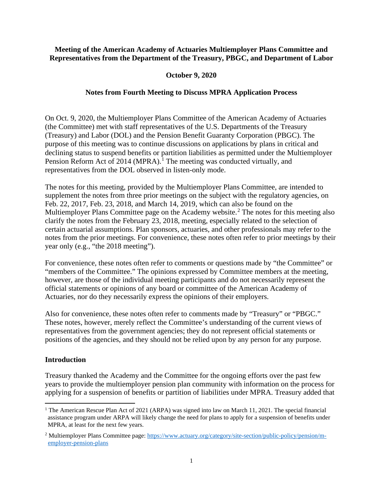## **Meeting of the American Academy of Actuaries Multiemployer Plans Committee and Representatives from the Department of the Treasury, PBGC, and Department of Labor**

# **October 9, 2020**

# **Notes from Fourth Meeting to Discuss MPRA Application Process**

On Oct. 9, 2020, the Multiemployer Plans Committee of the American Academy of Actuaries (the Committee) met with staff representatives of the U.S. Departments of the Treasury (Treasury) and Labor (DOL) and the Pension Benefit Guaranty Corporation (PBGC). The purpose of this meeting was to continue discussions on applications by plans in critical and declining status to suspend benefits or partition liabilities as permitted under the Multiemployer Pension Reform Act of 20[1](#page-0-0)4 (MPRA).<sup>1</sup> The meeting was conducted virtually, and representatives from the DOL observed in listen-only mode.

The notes for this meeting, provided by the Multiemployer Plans Committee, are intended to supplement the notes from three prior meetings on the subject with the regulatory agencies, on Feb. 22, 2017, Feb. 23, 2018, and March 14, 2019, which can also be found on the Multiemployer Plans Committee page on the Academy website.<sup>[2](#page-0-1)</sup> The notes for this meeting also clarify the notes from the February 23, 2018, meeting, especially related to the selection of certain actuarial assumptions. Plan sponsors, actuaries, and other professionals may refer to the notes from the prior meetings. For convenience, these notes often refer to prior meetings by their year only (e.g., "the 2018 meeting").

For convenience, these notes often refer to comments or questions made by "the Committee" or "members of the Committee." The opinions expressed by Committee members at the meeting, however, are those of the individual meeting participants and do not necessarily represent the official statements or opinions of any board or committee of the American Academy of Actuaries, nor do they necessarily express the opinions of their employers.

Also for convenience, these notes often refer to comments made by "Treasury" or "PBGC." These notes, however, merely reflect the Committee's understanding of the current views of representatives from the government agencies; they do not represent official statements or positions of the agencies, and they should not be relied upon by any person for any purpose.

#### **Introduction**

Treasury thanked the Academy and the Committee for the ongoing efforts over the past few years to provide the multiemployer pension plan community with information on the process for applying for a suspension of benefits or partition of liabilities under MPRA. Treasury added that

<span id="page-0-0"></span><sup>&</sup>lt;sup>1</sup> The American Rescue Plan Act of 2021 (ARPA) was signed into law on March 11, 2021. The special financial assistance program under ARPA will likely change the need for plans to apply for a suspension of benefits under MPRA, at least for the next few years.

<span id="page-0-1"></span><sup>2</sup> Multiemployer Plans Committee page: https://www.actuary.org/category/site-section/public-policy/pension/memployer-pension-plans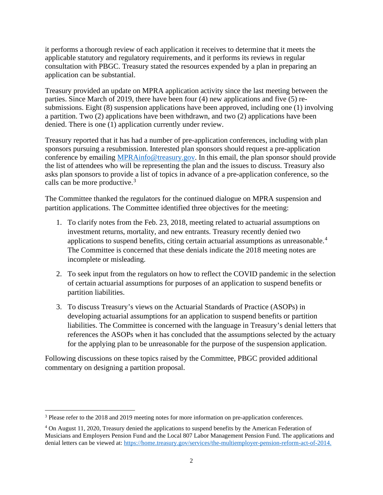it performs a thorough review of each application it receives to determine that it meets the applicable statutory and regulatory requirements, and it performs its reviews in regular consultation with PBGC. Treasury stated the resources expended by a plan in preparing an application can be substantial.

Treasury provided an update on MPRA application activity since the last meeting between the parties. Since March of 2019, there have been four (4) new applications and five (5) resubmissions. Eight (8) suspension applications have been approved, including one (1) involving a partition. Two (2) applications have been withdrawn, and two (2) applications have been denied. There is one (1) application currently under review.

Treasury reported that it has had a number of pre-application conferences, including with plan sponsors pursuing a resubmission. Interested plan sponsors should request a pre-application conference by emailing [MPRAinfo@treasury.gov.](mailto:MPRAinfo@treasury.gov) In this email, the plan sponsor should provide the list of attendees who will be representing the plan and the issues to discuss. Treasury also asks plan sponsors to provide a list of topics in advance of a pre-application conference, so the calls can be more productive.<sup>[3](#page-1-0)</sup>

The Committee thanked the regulators for the continued dialogue on MPRA suspension and partition applications. The Committee identified three objectives for the meeting:

- 1. To clarify notes from the Feb. 23, 2018, meeting related to actuarial assumptions on investment returns, mortality, and new entrants. Treasury recently denied two applications to suspend benefits, citing certain actuarial assumptions as unreasonable.<sup>[4](#page-1-1)</sup> The Committee is concerned that these denials indicate the 2018 meeting notes are incomplete or misleading.
- 2. To seek input from the regulators on how to reflect the COVID pandemic in the selection of certain actuarial assumptions for purposes of an application to suspend benefits or partition liabilities.
- 3. To discuss Treasury's views on the Actuarial Standards of Practice (ASOPs) in developing actuarial assumptions for an application to suspend benefits or partition liabilities. The Committee is concerned with the language in Treasury's denial letters that references the ASOPs when it has concluded that the assumptions selected by the actuary for the applying plan to be unreasonable for the purpose of the suspension application.

Following discussions on these topics raised by the Committee, PBGC provided additional commentary on designing a partition proposal.

<span id="page-1-0"></span><sup>3</sup> Please refer to the 2018 and 2019 meeting notes for more information on pre-application conferences.

<span id="page-1-1"></span><sup>4</sup> On August 11, 2020, Treasury denied the applications to suspend benefits by the American Federation of Musicians and Employers Pension Fund and the Local 807 Labor Management Pension Fund. The applications and denial letters can be viewed at: [https://home.treasury.gov/services/the-multiemployer-pension-reform-act-of-2014.](https://home.treasury.gov/services/the-multiemployer-pension-reform-act-of-2014)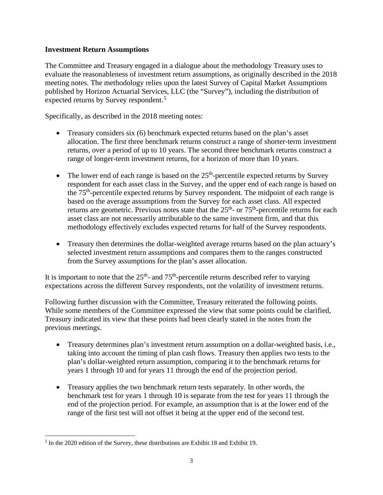# **Investment Return Assumptions**

The Committee and Treasury engaged in a dialogue about the methodology Treasury uses to evaluate the reasonableness of investment return assumptions, as originally described in the 2018 meeting notes. The methodology relies upon the latest Survey of Capital Market Assumptions published by Horizon Actuarial Services, LLC (the "Survey"), including the distribution of expected returns by Survey respondent.<sup>[5](#page-2-0)</sup>

Specifically, as described in the 2018 meeting notes:

- Treasury considers six (6) benchmark expected returns based on the plan's asset allocation. The first three benchmark returns construct a range of shorter-term investment returns, over a period of up to 10 years. The second three benchmark returns construct a range of longer-term investment returns, for a horizon of more than 10 years.
- The lower end of each range is based on the  $25<sup>th</sup>$ -percentile expected returns by Survey respondent for each asset class in the Survey, and the upper end of each range is based on the 75<sup>th</sup>-percentile expected returns by Survey respondent. The midpoint of each range is based on the average assumptions from the Survey for each asset class. All expected returns are geometric. Previous notes state that the  $25<sup>th</sup>$ - or  $75<sup>th</sup>$ -percentile returns for each asset class are not necessarily attributable to the same investment firm, and that this methodology effectively excludes expected returns for half of the Survey respondents.
- Treasury then determines the dollar-weighted average returns based on the plan actuary's selected investment return assumptions and compares them to the ranges constructed from the Survey assumptions for the plan's asset allocation.

It is important to note that the  $25<sup>th</sup>$ - and  $75<sup>th</sup>$ -percentile returns described refer to varying expectations across the different Survey respondents, not the volatility of investment returns.

Following further discussion with the Committee, Treasury reiterated the following points. While some members of the Committee expressed the view that some points could be clarified, Treasury indicated its view that these points had been clearly stated in the notes from the previous meetings.

- Treasury determines plan's investment return assumption on a dollar-weighted basis, i.e., taking into account the timing of plan cash flows. Treasury then applies two tests to the plan's dollar-weighted return assumption, comparing it to the benchmark returns for years 1 through 10 and for years 11 through the end of the projection period.
- Treasury applies the two benchmark return tests separately. In other words, the benchmark test for years 1 through 10 is separate from the test for years 11 through the end of the projection period. For example, an assumption that is at the lower end of the range of the first test will not offset it being at the upper end of the second test.

<span id="page-2-0"></span><sup>5</sup> In the 2020 edition of the Survey, these distributions are Exhibit 18 and Exhibit 19.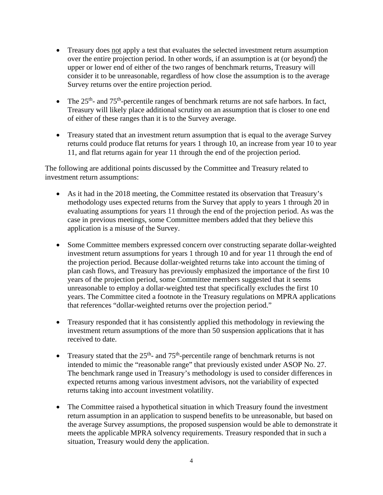- Treasury does not apply a test that evaluates the selected investment return assumption over the entire projection period. In other words, if an assumption is at (or beyond) the upper or lower end of either of the two ranges of benchmark returns, Treasury will consider it to be unreasonable, regardless of how close the assumption is to the average Survey returns over the entire projection period.
- The  $25<sup>th</sup>$  and  $75<sup>th</sup>$ -percentile ranges of benchmark returns are not safe harbors. In fact, Treasury will likely place additional scrutiny on an assumption that is closer to one end of either of these ranges than it is to the Survey average.
- Treasury stated that an investment return assumption that is equal to the average Survey returns could produce flat returns for years 1 through 10, an increase from year 10 to year 11, and flat returns again for year 11 through the end of the projection period.

The following are additional points discussed by the Committee and Treasury related to investment return assumptions:

- As it had in the 2018 meeting, the Committee restated its observation that Treasury's methodology uses expected returns from the Survey that apply to years 1 through 20 in evaluating assumptions for years 11 through the end of the projection period. As was the case in previous meetings, some Committee members added that they believe this application is a misuse of the Survey.
- Some Committee members expressed concern over constructing separate dollar-weighted investment return assumptions for years 1 through 10 and for year 11 through the end of the projection period. Because dollar-weighted returns take into account the timing of plan cash flows, and Treasury has previously emphasized the importance of the first 10 years of the projection period, some Committee members suggested that it seems unreasonable to employ a dollar-weighted test that specifically excludes the first 10 years. The Committee cited a footnote in the Treasury regulations on MPRA applications that references "dollar-weighted returns over the projection period."
- Treasury responded that it has consistently applied this methodology in reviewing the investment return assumptions of the more than 50 suspension applications that it has received to date.
- Treasury stated that the  $25<sup>th</sup>$  and  $75<sup>th</sup>$ -percentile range of benchmark returns is not intended to mimic the "reasonable range" that previously existed under ASOP No. 27. The benchmark range used in Treasury's methodology is used to consider differences in expected returns among various investment advisors, not the variability of expected returns taking into account investment volatility.
- The Committee raised a hypothetical situation in which Treasury found the investment return assumption in an application to suspend benefits to be unreasonable, but based on the average Survey assumptions, the proposed suspension would be able to demonstrate it meets the applicable MPRA solvency requirements. Treasury responded that in such a situation, Treasury would deny the application.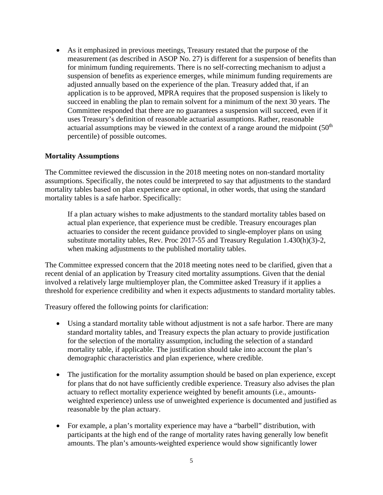• As it emphasized in previous meetings, Treasury restated that the purpose of the measurement (as described in ASOP No. 27) is different for a suspension of benefits than for minimum funding requirements. There is no self-correcting mechanism to adjust a suspension of benefits as experience emerges, while minimum funding requirements are adjusted annually based on the experience of the plan. Treasury added that, if an application is to be approved, MPRA requires that the proposed suspension is likely to succeed in enabling the plan to remain solvent for a minimum of the next 30 years. The Committee responded that there are no guarantees a suspension will succeed, even if it uses Treasury's definition of reasonable actuarial assumptions. Rather, reasonable actuarial assumptions may be viewed in the context of a range around the midpoint  $(50<sup>th</sup>$ percentile) of possible outcomes.

#### **Mortality Assumptions**

The Committee reviewed the discussion in the 2018 meeting notes on non-standard mortality assumptions. Specifically, the notes could be interpreted to say that adjustments to the standard mortality tables based on plan experience are optional, in other words, that using the standard mortality tables is a safe harbor. Specifically:

If a plan actuary wishes to make adjustments to the standard mortality tables based on actual plan experience, that experience must be credible. Treasury encourages plan actuaries to consider the recent guidance provided to single-employer plans on using substitute mortality tables, Rev. Proc 2017-55 and Treasury Regulation 1.430(h)(3)-2, when making adjustments to the published mortality tables.

The Committee expressed concern that the 2018 meeting notes need to be clarified, given that a recent denial of an application by Treasury cited mortality assumptions. Given that the denial involved a relatively large multiemployer plan, the Committee asked Treasury if it applies a threshold for experience credibility and when it expects adjustments to standard mortality tables.

Treasury offered the following points for clarification:

- Using a standard mortality table without adjustment is not a safe harbor. There are many standard mortality tables, and Treasury expects the plan actuary to provide justification for the selection of the mortality assumption, including the selection of a standard mortality table, if applicable. The justification should take into account the plan's demographic characteristics and plan experience, where credible.
- The justification for the mortality assumption should be based on plan experience, except for plans that do not have sufficiently credible experience. Treasury also advises the plan actuary to reflect mortality experience weighted by benefit amounts (i.e., amountsweighted experience) unless use of unweighted experience is documented and justified as reasonable by the plan actuary.
- For example, a plan's mortality experience may have a "barbell" distribution, with participants at the high end of the range of mortality rates having generally low benefit amounts. The plan's amounts-weighted experience would show significantly lower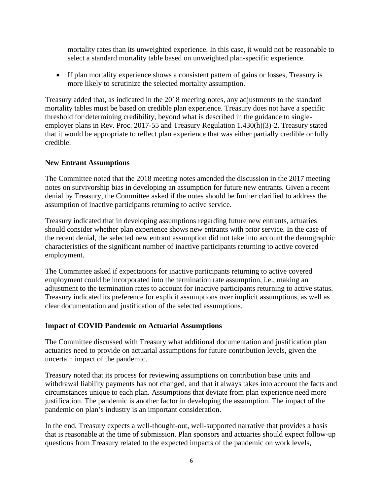mortality rates than its unweighted experience. In this case, it would not be reasonable to select a standard mortality table based on unweighted plan-specific experience.

• If plan mortality experience shows a consistent pattern of gains or losses, Treasury is more likely to scrutinize the selected mortality assumption.

Treasury added that, as indicated in the 2018 meeting notes, any adjustments to the standard mortality tables must be based on credible plan experience. Treasury does not have a specific threshold for determining credibility, beyond what is described in the guidance to singleemployer plans in Rev. Proc. 2017-55 and Treasury Regulation 1.430(h)(3)-2. Treasury stated that it would be appropriate to reflect plan experience that was either partially credible or fully credible.

# **New Entrant Assumptions**

The Committee noted that the 2018 meeting notes amended the discussion in the 2017 meeting notes on survivorship bias in developing an assumption for future new entrants. Given a recent denial by Treasury, the Committee asked if the notes should be further clarified to address the assumption of inactive participants returning to active service.

Treasury indicated that in developing assumptions regarding future new entrants, actuaries should consider whether plan experience shows new entrants with prior service. In the case of the recent denial, the selected new entrant assumption did not take into account the demographic characteristics of the significant number of inactive participants returning to active covered employment.

The Committee asked if expectations for inactive participants returning to active covered employment could be incorporated into the termination rate assumption, i.e., making an adjustment to the termination rates to account for inactive participants returning to active status. Treasury indicated its preference for explicit assumptions over implicit assumptions, as well as clear documentation and justification of the selected assumptions.

#### **Impact of COVID Pandemic on Actuarial Assumptions**

The Committee discussed with Treasury what additional documentation and justification plan actuaries need to provide on actuarial assumptions for future contribution levels, given the uncertain impact of the pandemic.

Treasury noted that its process for reviewing assumptions on contribution base units and withdrawal liability payments has not changed, and that it always takes into account the facts and circumstances unique to each plan. Assumptions that deviate from plan experience need more justification. The pandemic is another factor in developing the assumption. The impact of the pandemic on plan's industry is an important consideration.

In the end, Treasury expects a well-thought-out, well-supported narrative that provides a basis that is reasonable at the time of submission. Plan sponsors and actuaries should expect follow-up questions from Treasury related to the expected impacts of the pandemic on work levels,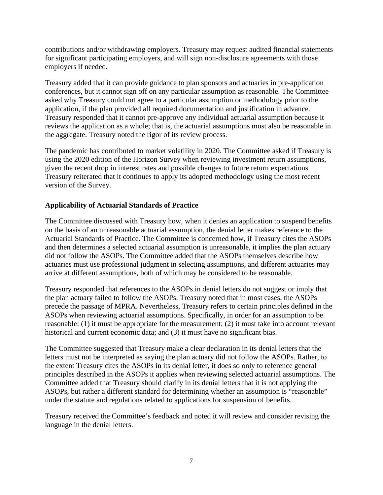contributions and/or withdrawing employers. Treasury may request audited financial statements for significant participating employers, and will sign non-disclosure agreements with those employers if needed.

Treasury added that it can provide guidance to plan sponsors and actuaries in pre-application conferences, but it cannot sign off on any particular assumption as reasonable. The Committee asked why Treasury could not agree to a particular assumption or methodology prior to the application, if the plan provided all required documentation and justification in advance. Treasury responded that it cannot pre-approve any individual actuarial assumption because it reviews the application as a whole; that is, the actuarial assumptions must also be reasonable in the aggregate. Treasury noted the rigor of its review process.

The pandemic has contributed to market volatility in 2020. The Committee asked if Treasury is using the 2020 edition of the Horizon Survey when reviewing investment return assumptions, given the recent drop in interest rates and possible changes to future return expectations. Treasury reiterated that it continues to apply its adopted methodology using the most recent version of the Survey.

# **Applicability of Actuarial Standards of Practice**

The Committee discussed with Treasury how, when it denies an application to suspend benefits on the basis of an unreasonable actuarial assumption, the denial letter makes reference to the Actuarial Standards of Practice. The Committee is concerned how, if Treasury cites the ASOPs and then determines a selected actuarial assumption is unreasonable, it implies the plan actuary did not follow the ASOPs. The Committee added that the ASOPs themselves describe how actuaries must use professional judgment in selecting assumptions, and different actuaries may arrive at different assumptions, both of which may be considered to be reasonable.

Treasury responded that references to the ASOPs in denial letters do not suggest or imply that the plan actuary failed to follow the ASOPs. Treasury noted that in most cases, the ASOPs precede the passage of MPRA. Nevertheless, Treasury refers to certain principles defined in the ASOPs when reviewing actuarial assumptions. Specifically, in order for an assumption to be reasonable: (1) it must be appropriate for the measurement; (2) it must take into account relevant historical and current economic data; and (3) it must have no significant bias.

The Committee suggested that Treasury make a clear declaration in its denial letters that the letters must not be interpreted as saying the plan actuary did not follow the ASOPs. Rather, to the extent Treasury cites the ASOPs in its denial letter, it does so only to reference general principles described in the ASOPs it applies when reviewing selected actuarial assumptions. The Committee added that Treasury should clarify in its denial letters that it is not applying the ASOPs, but rather a different standard for determining whether an assumption is "reasonable" under the statute and regulations related to applications for suspension of benefits.

Treasury received the Committee's feedback and noted it will review and consider revising the language in the denial letters.